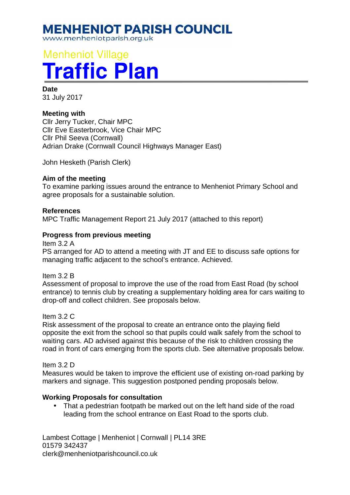# **MENHENIOT PARISH COUNCIL**

www.menheniotparish.org.uk

# **Menheniot Village Traffic Plan**

**Date**  31 July 2017

# **Meeting with**

Cllr Jerry Tucker, Chair MPC Cllr Eve Easterbrook, Vice Chair MPC Cllr Phil Seeva (Cornwall) Adrian Drake (Cornwall Council Highways Manager East)

John Hesketh (Parish Clerk)

## **Aim of the meeting**

To examine parking issues around the entrance to Menheniot Primary School and agree proposals for a sustainable solution.

#### **References**

MPC Traffic Management Report 21 July 2017 (attached to this report)

#### **Progress from previous meeting**

Item 3.2 A

PS arranged for AD to attend a meeting with JT and EE to discuss safe options for managing traffic adjacent to the school's entrance. Achieved.

Item 3.2 B

Assessment of proposal to improve the use of the road from East Road (by school entrance) to tennis club by creating a supplementary holding area for cars waiting to drop-off and collect children. See proposals below.

#### Item 3.2 C

Risk assessment of the proposal to create an entrance onto the playing field opposite the exit from the school so that pupils could walk safely from the school to waiting cars. AD advised against this because of the risk to children crossing the road in front of cars emerging from the sports club. See alternative proposals below.

Item 3.2 D

Measures would be taken to improve the efficient use of existing on-road parking by markers and signage. This suggestion postponed pending proposals below.

#### **Working Proposals for consultation**

• That a pedestrian footpath be marked out on the left hand side of the road leading from the school entrance on East Road to the sports club.

Lambest Cottage | Menheniot | Cornwall | PL14 3RE 01579 342437 clerk@menheniotparishcouncil.co.uk